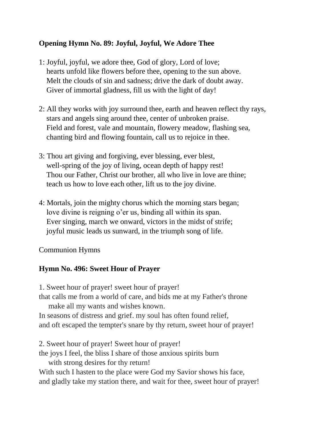### **Opening Hymn No. 89: Joyful, Joyful, We Adore Thee**

- 1: Joyful, joyful, we adore thee, God of glory, Lord of love; hearts unfold like flowers before thee, opening to the sun above. Melt the clouds of sin and sadness; drive the dark of doubt away. Giver of immortal gladness, fill us with the light of day!
- 2: All they works with joy surround thee, earth and heaven reflect thy rays, stars and angels sing around thee, center of unbroken praise. Field and forest, vale and mountain, flowery meadow, flashing sea, chanting bird and flowing fountain, call us to rejoice in thee.
- 3: Thou art giving and forgiving, ever blessing, ever blest, well-spring of the joy of living, ocean depth of happy rest! Thou our Father, Christ our brother, all who live in love are thine; teach us how to love each other, lift us to the joy divine.
- 4: Mortals, join the mighty chorus which the morning stars began; love divine is reigning o'er us, binding all within its span. Ever singing, march we onward, victors in the midst of strife; joyful music leads us sunward, in the triumph song of life.

#### Communion Hymns

## **Hymn No. 496: Sweet Hour of Prayer**

1. Sweet hour of prayer! sweet hour of prayer! that calls me from a world of care, and bids me at my Father's throne make all my wants and wishes known. In seasons of distress and grief. my soul has often found relief, and oft escaped the tempter's snare by thy return, sweet hour of prayer!

2. Sweet hour of prayer! Sweet hour of prayer! the joys I feel, the bliss I share of those anxious spirits burn with strong desires for thy return! With such I hasten to the place were God my Savior shows his face, and gladly take my station there, and wait for thee, sweet hour of prayer!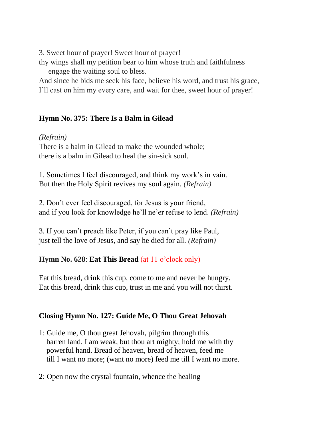3. Sweet hour of prayer! Sweet hour of prayer!

thy wings shall my petition bear to him whose truth and faithfulness engage the waiting soul to bless.

And since he bids me seek his face, believe his word, and trust his grace, I'll cast on him my every care, and wait for thee, sweet hour of prayer!

## **Hymn No. 375: There Is a Balm in Gilead**

### *(Refrain)*

There is a balm in Gilead to make the wounded whole; there is a balm in Gilead to heal the sin-sick soul.

1. Sometimes I feel discouraged, and think my work's in vain. But then the Holy Spirit revives my soul again. *(Refrain)*

2. Don't ever feel discouraged, for Jesus is your friend, and if you look for knowledge he'll ne'er refuse to lend. *(Refrain)*

3. If you can't preach like Peter, if you can't pray like Paul, just tell the love of Jesus, and say he died for all. *(Refrain)*

## **Hymn No. 628**: **Eat This Bread** (at 11 o'clock only)

Eat this bread, drink this cup, come to me and never be hungry. Eat this bread, drink this cup, trust in me and you will not thirst.

# **Closing Hymn No. 127: Guide Me, O Thou Great Jehovah**

- 1: Guide me, O thou great Jehovah, pilgrim through this barren land. I am weak, but thou art mighty; hold me with thy powerful hand. Bread of heaven, bread of heaven, feed me till I want no more; (want no more) feed me till I want no more.
- 2: Open now the crystal fountain, whence the healing